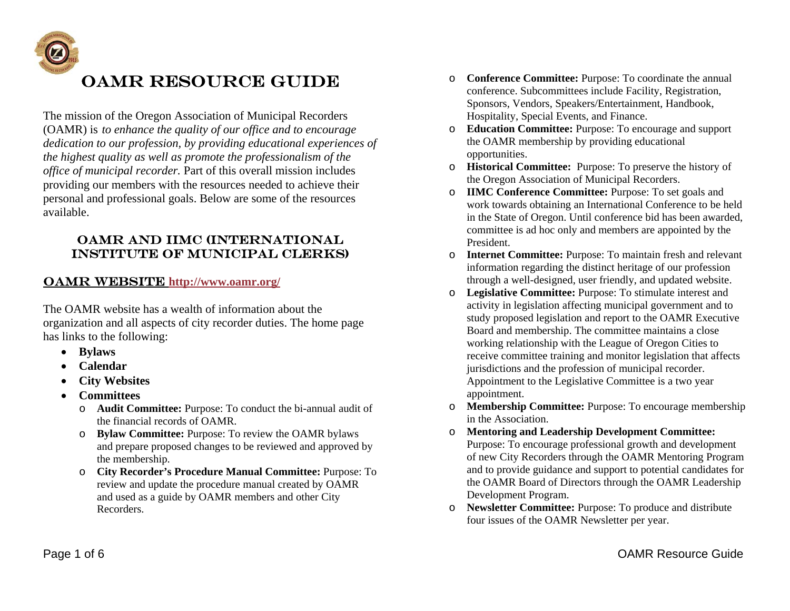

The mission of the Oregon Association of Municipal Recorders (OAMR) is *to enhance the quality of our office and to encourage dedication to our profession, by providing educational experiences of the highest quality as well as promote the professionalism of the office of municipal recorder.* Part of this overall mission includes providing our members with the resources needed to achieve their personal and professional goals. Below are some of the resources available.

## OAMR and IIMC (International Institute of Municipal Clerks)

## **OAMR WEBSITE http://www.oamr.org/**

The OAMR website has a wealth of information about the organization and all aspects of city recorder duties. The home page has links to the following:

- **Bylaws**
- **Calendar**
- . **City Websites**
- . **Committees** 
	- o **Audit Committee:** Purpose: To conduct the bi-annual audit of the financial records of OAMR.
	- o **Bylaw Committee:** Purpose: To review the OAMR bylaws and prepare proposed changes to be reviewed and approved by the membership.
	- o **City Recorder's Procedure Manual Committee:** Purpose: To review and update the procedure manual created by OAMR and used as a guide by OAMR members and other City Recorders.
- o **Conference Committee:** Purpose: To coordinate the annual conference. Subcommittees include Facility, Registration, Sponsors, Vendors, Speakers/Entertainment, Handbook, Hospitality, Special Events, and Finance.
- o **Education Committee:** Purpose: To encourage and support the OAMR membership by providing educational opportunities.
- o **Historical Committee:** Purpose: To preserve the history of the Oregon Association of Municipal Recorders.
- o **IIMC Conference Committee:** Purpose: To set goals and work towards obtaining an International Conference to be held in the State of Oregon. Until conference bid has been awarded, committee is ad hoc only and members are appointed by the President.
- o **Internet Committee:** Purpose: To maintain fresh and relevant information regarding the distinct heritage of our profession through a well-designed, user friendly, and updated website.
- o **Legislative Committee:** Purpose: To stimulate interest and activity in legislation affecting municipal government and to study proposed legislation and report to the OAMR Executive Board and membership. The committee maintains a close working relationship with the League of Oregon Cities to receive committee training and monitor legislation that affects jurisdictions and the profession of municipal recorder. Appointment to the Legislative Committee is a two year appointment.
- o **Membership Committee:** Purpose: To encourage membership in the Association.
- o **Mentoring and Leadership Development Committee:** Purpose: To encourage professional growth and development of new City Recorders through the OAMR Mentoring Program and to provide guidance and support to potential candidates for the OAMR Board of Directors through the OAMR Leadership Development Program.
- o **Newsletter Committee:** Purpose: To produce and distribute four issues of the OAMR Newsletter per year.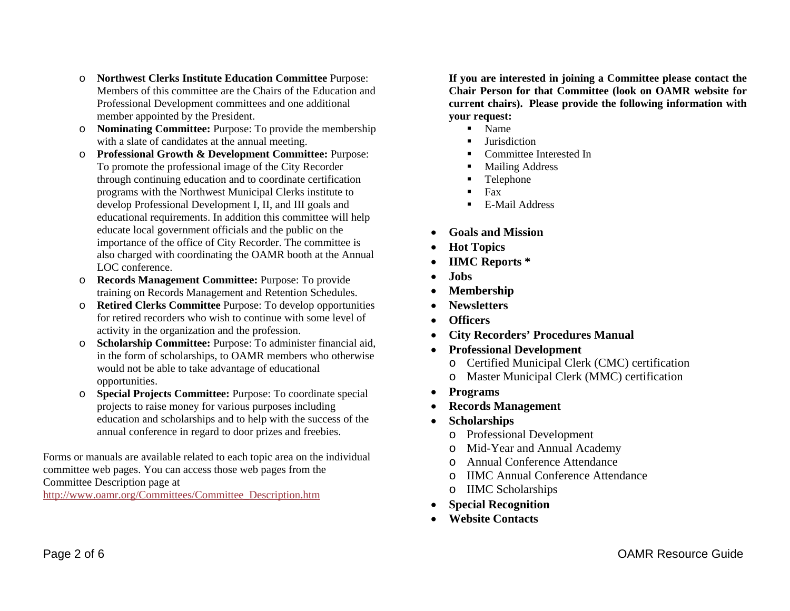- o **Northwest Clerks Institute Education Committee** Purpose: Members of this committee are the Chairs of the Education and Professional Development committees and one additional member appointed by the President.
- o **Nominating Committee:** Purpose: To provide the membership with a slate of candidates at the annual meeting.
- o **Professional Growth & Development Committee:** Purpose: To promote the professional image of the City Recorder through continuing education and to coordinate certification programs with the Northwest Municipal Clerks institute to develop Professional Development I, II, and III goals and educational requirements. In addition this committee will help educate local government officials and the public on the importance of the office of City Recorder. The committee is also charged with coordinating the OAMR booth at the Annual LOC conference.
- o **Records Management Committee:** Purpose: To provide training on Records Management and Retention Schedules.
- o **Retired Clerks Committee** Purpose: To develop opportunities for retired recorders who wish to continue with some level of activity in the organization and the profession.
- o **Scholarship Committee:** Purpose: To administer financial aid, in the form of scholarships, to OAMR members who otherwise would not be able to take advantage of educational opportunities.
- o **Special Projects Committee:** Purpose: To coordinate special projects to raise money for various purposes including education and scholarships and to help with the success of the annual conference in regard to door prizes and freebies.

Forms or manuals are available related to each topic area on the individual committee web pages. You can access those web pages from the Committee Description page at

http://www.oamr.org/Committees/Committee\_Description.htm

**If you are interested in joining a Committee please contact the Chair Person for that Committee (look on OAMR website for current chairs). Please provide the following information with your request:**

- $\blacksquare$ Name
- Г **Jurisdiction**
- L Committee Interested In
- н Mailing Address
- Г Telephone
- $\blacksquare$ Fax
- н E-Mail Address
- 0 **Goals and Mission**
- 0 **Hot Topics**
- 0 **IIMC Reports \***
- $\bullet$ **Jobs**
- . **Membership**
- $\bullet$ **Newsletters**
- . **Officers**
- . **City Recorders' Procedures Manual**
- **Professional Development** 
	- o Certified Municipal Clerk (CMC) certification
	- o Master Municipal Clerk (MMC) certification
- $\bullet$ **Programs**
- $\bullet$ **Records Management**
- $\bullet$  **Scholarships** 
	- o Professional Development
	- o Mid-Year and Annual Academy
	- o Annual Conference Attendance
	- o IIMC Annual Conference Attendance
	- o IIMC Scholarships
	- **Special Recognition**
- $\bullet$ **Website Contacts**

 $\bullet$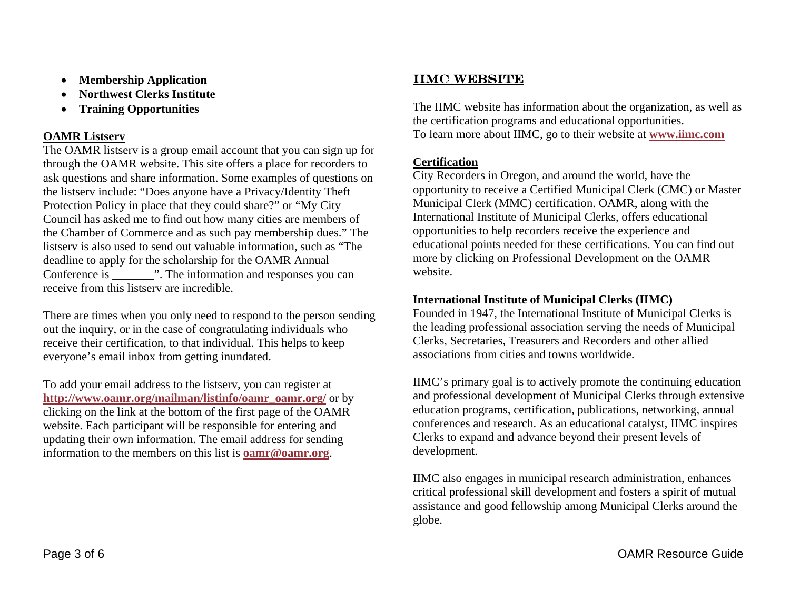- $\bullet$ **Membership Application**
- 0 **Northwest Clerks Institute**
- . **Training Opportunities**

## **OAMR Listserv**

The OAMR listserv is a group email account that you can sign up for through the OAMR website. This site offers a place for recorders to ask questions and share information. Some examples of questions on the listserv include: "Does anyone have a Privacy/Identity Theft Protection Policy in place that they could share?" or "My City Council has asked me to find out how many cities are members of the Chamber of Commerce and as such pay membership dues." The listserv is also used to send out valuable information, such as "The deadline to apply for the scholarship for the OAMR Annual Conference is  $\ldots$  The information and responses you can receive from this listserv are incredible.

There are times when you only need to respond to the person sending out the inquiry, or in the case of congratulating individuals who receive their certification, to that individual. This helps to keep everyone's email inbox from getting inundated.

To add your email address to the listserv, you can register at **http://www.oamr.org/mailman/listinfo/oamr\_oamr.org/** or by clicking on the link at the bottom of the first page of the OAMR website. Each participant will be responsible for entering and updating their own information. The email address for sending information to the members on this list is **oamr@oamr.org**.

# **IIMC WEBSITE**

The IIMC website has information about the organization, as well as the certification programs and educational opportunities. To learn more about IIMC, go to their website at **www.iimc.com**

## **Certification**

City Recorders in Oregon, and around the world, have the opportunity to receive a Certified Municipal Clerk (CMC) or Master Municipal Clerk (MMC) certification. OAMR, along with the International Institute of Municipal Clerks, offers educational opportunities to help recorders receive the experience and educational points needed for these certifications. You can find out more by clicking on Professional Development on the OAMR website.

## **International Institute of Municipal Clerks (IIMC)**

Founded in 1947, the International Institute of Municipal Clerks is the leading professional association serving the needs of Municipal Clerks, Secretaries, Treasurers and Recorders and other allied associations from cities and towns worldwide.

IIMC's primary goal is to actively promote the continuing education and professional development of Municipal Clerks through extensive education programs, certification, publications, networking, annual conferences and research. As an educational catalyst, IIMC inspires Clerks to expand and advance beyond their present levels of development.

IIMC also engages in municipal research administration, enhances critical professional skill development and fosters a spirit of mutual assistance and good fellowship among Municipal Clerks around the globe.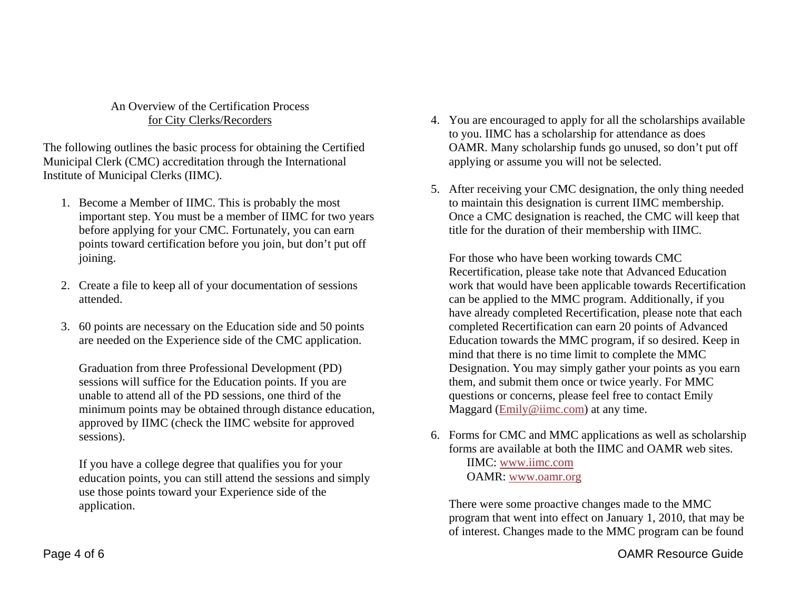### An Overview of the Certification Process for City Clerks/Recorders

The following outlines the basic process for obtaining the Certified Municipal Clerk (CMC) accreditation through the International Institute of Municipal Clerks (IIMC).

- 1. Become a Member of IIMC. This is probably the most important step. You must be a member of IIMC for two years before applying for your CMC. Fortunately, you can earn points toward certification before you join, but don't put off joining.
- 2. Create a file to keep all of your documentation of sessions attended.
- 3. 60 points are necessary on the Education side and 50 points are needed on the Experience side of the CMC application.

Graduation from three Professional Development (PD) sessions will suffice for the Education points. If you are unable to attend all of the PD sessions, one third of the minimum points may be obtained through distance education, approved by IIMC (check the IIMC website for approved sessions).

If you have a college degree that qualifies you for your education points, you can still attend the sessions and simply use those points toward your Experience side of the application.

- 4. You are encouraged to apply for all the scholarships available to you. IIMC has a scholarship for attendance as does OAMR. Many scholarship funds go unused, so don't put off applying or assume you will not be selected.
- 5. After receiving your CMC designation, the only thing needed to maintain this designation is current IIMC membership. Once a CMC designation is reached, the CMC will keep that title for the duration of their membership with IIMC.

For those who have been working towards CMC Recertification, please take note that Advanced Education work that would have been applicable towards Recertification can be applied to the MMC program. Additionally, if you have already completed Recertification, please note that each completed Recertification can earn 20 points of Advanced Education towards the MMC program, if so desired. Keep in mind that there is no time limit to complete the MMC Designation. You may simply gather your points as you earn them, and submit them once or twice yearly. For MMC questions or concerns, please feel free to contact Emily Maggard (Emily@iimc.com) at any time.

6. Forms for CMC and MMC applications as well as scholarship forms are available at both the IIMC and OAMR web sites.

> IIMC: www.iimc.comOAMR: www.oamr.org

There were some proactive changes made to the MMC program that went into effect on January 1, 2010, that may be of interest. Changes made to the MMC program can be found

Page 4 of 6 OAMR Resource Guide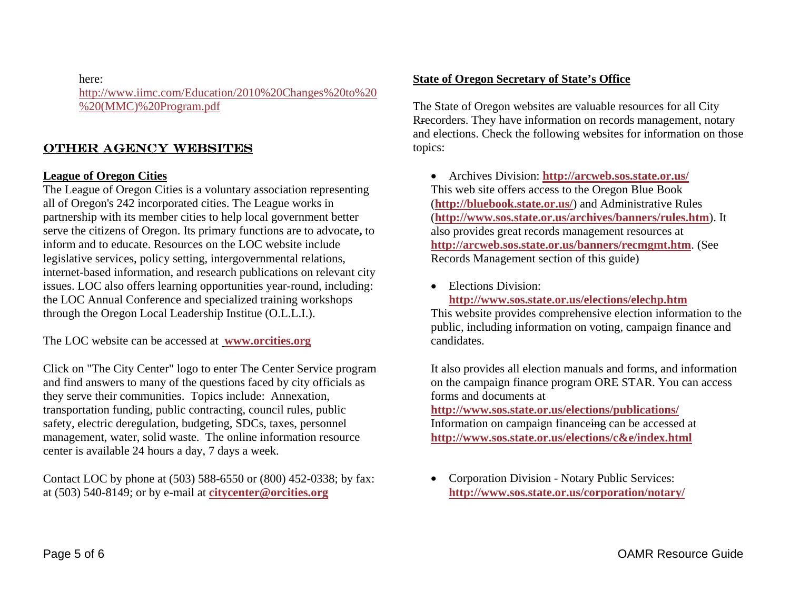here:

http://www.iimc.com/Education/2010%20Changes%20to%20 %20(MMC)%20Program.pdf

# Other Agency Websites

### **League of Oregon Cities**

The League of Oregon Cities is a voluntary association representing all of Oregon's 242 incorporated cities. The League works in partnership with its member cities to help local government better serve the citizens of Oregon. Its primary functions are to advocate**,** to inform and to educate. Resources on the LOC website include legislative services, policy setting, intergovernmental relations, internet-based information, and research publications on relevant city issues. LOC also offers learning opportunities year-round, including: the LOC Annual Conference and specialized training workshops through the Oregon Local Leadership Institue (O.L.L.I.).

The LOC website can be accessed at **www.orcities.org**

Click on "The City Center" logo to enter The Center Service program and find answers to many of the questions faced by city officials as they serve their communities. Topics include: Annexation, transportation funding, public contracting, council rules, public safety, electric deregulation, budgeting, SDCs, taxes, personnel management, water, solid waste. The online information resource center is available 24 hours a day, 7 days a week.

Contact LOC by phone at (503) 588-6550 or (800) 452-0338; by fax: at (503) 540-8149; or by e-mail at **citycenter@orcities.org**

### **State of Oregon Secretary of State's Office**

The State of Oregon websites are valuable resources for all City Rrecorders. They have information on records management, notary and elections. Check the following websites for information on those topics:

 Archives Division: **http://arcweb.sos.state.or.us/** This web site offers access to the Oregon Blue Book (**http://bluebook.state.or.us/**) and Administrative Rules (**http://www.sos.state.or.us/archives/banners/rules.htm**). It also provides great records management resources at **http://arcweb.sos.state.or.us/banners/recmgmt.htm**. (See Records Management section of this guide)

• Elections Division:

**http://www.sos.state.or.us/elections/elechp.htm**

This website provides comprehensive election information to the public, including information on voting, campaign finance and candidates.

It also provides all election manuals and forms, and information on the campaign finance program ORE STAR. You can access forms and documents at

**http://www.sos.state.or.us/elections/publications/** Information on campaign financeing can be accessed at **http://www.sos.state.or.us/elections/c&e/index.html**

 $\bullet$  Corporation Division - Notary Public Services: **http://www.sos.state.or.us/corporation/notary/**